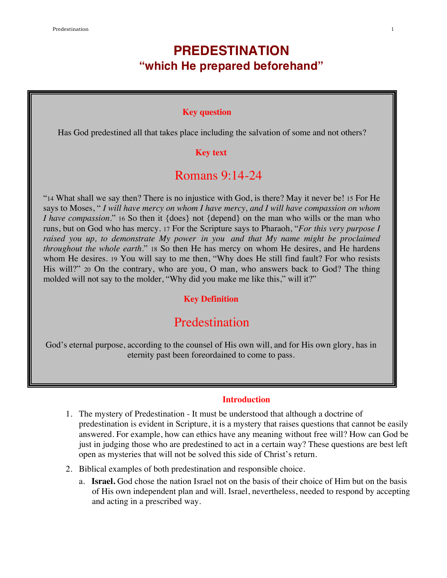# **PREDESTINATION "which He prepared beforehand"**

#### **Key question**

Has God predestined all that takes place including the salvation of some and not others?

#### **Key text**

# Romans 9:14-24

"14 What shall we say then? There is no injustice with God, is there? May it never be! 15 For He says to Moses, " *I will have mercy on whom I have mercy, and I will have compassion on whom I have compassion.*" 16 So then it {does} not {depend} on the man who wills or the man who runs, but on God who has mercy. 17 For the Scripture says to Pharaoh, "*For this very purpose I raised you up, to demonstrate My power in you and that My name might be proclaimed throughout the whole earth.*" 18 So then He has mercy on whom He desires, and He hardens whom He desires. 19 You will say to me then, "Why does He still find fault? For who resists His will?" 20 On the contrary, who are you, O man, who answers back to God? The thing molded will not say to the molder, "Why did you make me like this," will it?"

### **Key Definition**

# Predestination

God's eternal purpose, according to the counsel of His own will, and for His own glory, has in eternity past been foreordained to come to pass.

### **Introduction**

- 1. The mystery of Predestination It must be understood that although a doctrine of predestination is evident in Scripture, it is a mystery that raises questions that cannot be easily answered. For example, how can ethics have any meaning without free will? How can God be just in judging those who are predestined to act in a certain way? These questions are best left open as mysteries that will not be solved this side of Christ's return.
- 2. Biblical examples of both predestination and responsible choice.
	- a. **Israel.** God chose the nation Israel not on the basis of their choice of Him but on the basis of His own independent plan and will. Israel, nevertheless, needed to respond by accepting and acting in a prescribed way.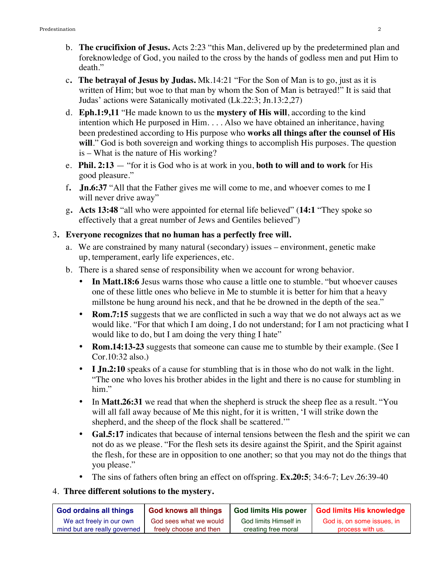- b. **The crucifixion of Jesus.** Acts 2:23 "this Man, delivered up by the predetermined plan and foreknowledge of God, you nailed to the cross by the hands of godless men and put Him to death."
- c**. The betrayal of Jesus by Judas.** Mk.14:21 "For the Son of Man is to go, just as it is written of Him; but woe to that man by whom the Son of Man is betrayed!" It is said that Judas' actions were Satanically motivated (Lk.22:3; Jn.13:2,27)
- d. **Eph.1:9,11** "He made known to us the **mystery of His will**, according to the kind intention which He purposed in Him. . . . Also we have obtained an inheritance, having been predestined according to His purpose who **works all things after the counsel of His**  will." God is both sovereign and working things to accomplish His purposes. The question is – What is the nature of His working?
- e. **Phil. 2:13** "for it is God who is at work in you, **both to will and to work** for His good pleasure."
- f**. Jn.6:37** "All that the Father gives me will come to me, and whoever comes to me I will never drive away"
- g**. Acts 13:48** "all who were appointed for eternal life believed" (**14:1** "They spoke so effectively that a great number of Jews and Gentiles believed")

### 3**. Everyone recognizes that no human has a perfectly free will.**

- a. We are constrained by many natural (secondary) issues environment, genetic make up, temperament, early life experiences, etc.
- b. There is a shared sense of responsibility when we account for wrong behavior.
	- In Matt.18:6 Jesus warns those who cause a little one to stumble. "but whoever causes" one of these little ones who believe in Me to stumble it is better for him that a heavy millstone be hung around his neck, and that he be drowned in the depth of the sea."
	- **Rom.7:15** suggests that we are conflicted in such a way that we do not always act as we would like. "For that which I am doing, I do not understand; for I am not practicing what I would like to do, but I am doing the very thing I hate"
	- **Rom.14:13-23** suggests that someone can cause me to stumble by their example. (See I Cor.10:32 also.)
	- **I Jn.2:10** speaks of a cause for stumbling that is in those who do not walk in the light. "The one who loves his brother abides in the light and there is no cause for stumbling in him."
	- In **Matt.26:31** we read that when the shepherd is struck the sheep flee as a result. "You will all fall away because of Me this night, for it is written, 'I will strike down the shepherd, and the sheep of the flock shall be scattered.'"
	- **Gal.5:17** indicates that because of internal tensions between the flesh and the spirit we can not do as we please. "For the flesh sets its desire against the Spirit, and the Spirit against the flesh, for these are in opposition to one another; so that you may not do the things that you please."
	- The sins of fathers often bring an effect on offspring. **Ex.20:5**; 34:6-7; Lev.26:39-40

### 4. **Three different solutions to the mystery.**

| <b>God ordains all things</b> | <b>God knows all things</b> | <b>God limits His power</b> | <b>God limits His knowledge</b> |
|-------------------------------|-----------------------------|-----------------------------|---------------------------------|
| We act freely in our own      | God sees what we would      | God limits Himself in       | God is, on some issues, in      |
| mind but are really governed  | freely choose and then      | creating free moral         | process with us.                |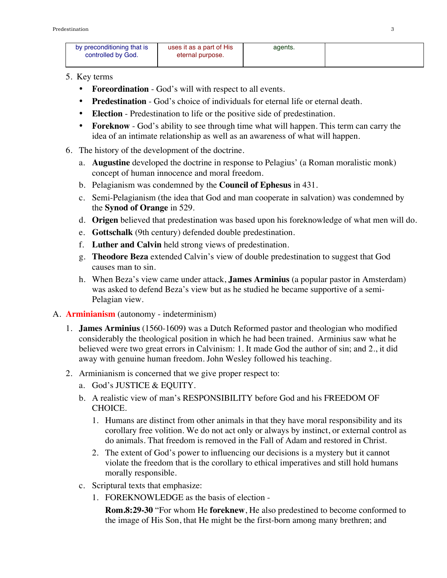| by preconditioning that is<br>controlled by God. | uses it as a part of His<br>eternal purpose. | agents. |  |
|--------------------------------------------------|----------------------------------------------|---------|--|
|                                                  |                                              |         |  |

### 5. Key terms

- **Foreordination** God's will with respect to all events.
- **Predestination** God's choice of individuals for eternal life or eternal death.
- **Election** Predestination to life or the positive side of predestination.
- **Foreknow** God's ability to see through time what will happen. This term can carry the idea of an intimate relationship as well as an awareness of what will happen.
- 6. The history of the development of the doctrine.
	- a. **Augustine** developed the doctrine in response to Pelagius' (a Roman moralistic monk) concept of human innocence and moral freedom.
	- b. Pelagianism was condemned by the **Council of Ephesus** in 431.
	- c. Semi-Pelagianism (the idea that God and man cooperate in salvation) was condemned by the **Synod of Orange** in 529.
	- d. **Origen** believed that predestination was based upon his foreknowledge of what men will do.
	- e. **Gottschalk** (9th century) defended double predestination.
	- f. **Luther and Calvin** held strong views of predestination.
	- g. **Theodore Beza** extended Calvin's view of double predestination to suggest that God causes man to sin.
	- h. When Beza's view came under attack, **James Arminius** (a popular pastor in Amsterdam) was asked to defend Beza's view but as he studied he became supportive of a semi-Pelagian view.
- A. **Arminianism** (autonomy indeterminism)
	- 1. **James Arminius** (1560-1609**)** was a Dutch Reformed pastor and theologian who modified considerably the theological position in which he had been trained. Arminius saw what he believed were two great errors in Calvinism: 1. It made God the author of sin; and 2., it did away with genuine human freedom. John Wesley followed his teaching.
	- 2. Arminianism is concerned that we give proper respect to:
		- a. God's JUSTICE & EQUITY.
		- b. A realistic view of man's RESPONSIBILITY before God and his FREEDOM OF CHOICE.
			- 1. Humans are distinct from other animals in that they have moral responsibility and its corollary free volition. We do not act only or always by instinct, or external control as do animals. That freedom is removed in the Fall of Adam and restored in Christ.
			- 2. The extent of God's power to influencing our decisions is a mystery but it cannot violate the freedom that is the corollary to ethical imperatives and still hold humans morally responsible.
		- c. Scriptural texts that emphasize:
			- 1. FOREKNOWLEDGE as the basis of election -

**Rom.8:29-30** "For whom He **foreknew**, He also predestined to become conformed to the image of His Son, that He might be the first-born among many brethren; and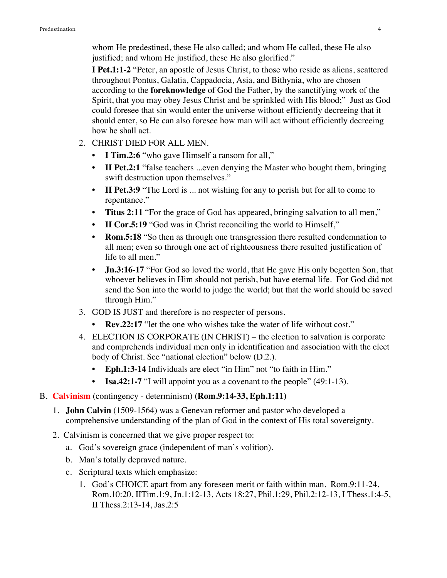whom He predestined, these He also called; and whom He called, these He also justified; and whom He justified, these He also glorified."

**I Pet.1:1-2** "Peter, an apostle of Jesus Christ, to those who reside as aliens, scattered throughout Pontus, Galatia, Cappadocia, Asia, and Bithynia, who are chosen according to the **foreknowledge** of God the Father, by the sanctifying work of the Spirit, that you may obey Jesus Christ and be sprinkled with His blood;" Just as God could foresee that sin would enter the universe without efficiently decreeing that it should enter, so He can also foresee how man will act without efficiently decreeing how he shall act.

- 2. CHRIST DIED FOR ALL MEN.
	- **I Tim.2:6** "who gave Himself a ransom for all,"
	- **II Pet.2:1** "false teachers ...even denying the Master who bought them, bringing swift destruction upon themselves."
	- **II Pet.3:9** "The Lord is ... not wishing for any to perish but for all to come to repentance."
	- **Titus 2:11** "For the grace of God has appeared, bringing salvation to all men,"
	- **II Cor.5:19** "God was in Christ reconciling the world to Himself,"
	- **Rom.5:18** "So then as through one transgression there resulted condemnation to all men; even so through one act of righteousness there resulted justification of life to all men."
	- **Jn.3:16-17** "For God so loved the world, that He gave His only begotten Son, that whoever believes in Him should not perish, but have eternal life. For God did not send the Son into the world to judge the world; but that the world should be saved through Him."
- 3. GOD IS JUST and therefore is no respecter of persons.
	- **Rev.22:17** "let the one who wishes take the water of life without cost."
- 4. ELECTION IS CORPORATE (IN CHRIST) the election to salvation is corporate and comprehends individual men only in identification and association with the elect body of Christ. See "national election" below (D.2.).
	- **Eph.1:3-14** Individuals are elect "in Him" not "to faith in Him."
	- **Isa.42:1-7** "I will appoint you as a covenant to the people" (49:1-13).

### B. **Calvinism** (contingency - determinism) **(Rom.9:14-33, Eph.1:11)**

- 1. **John Calvin** (1509-1564) was a Genevan reformer and pastor who developed a comprehensive understanding of the plan of God in the context of His total sovereignty.
- 2. Calvinism is concerned that we give proper respect to:
	- a. God's sovereign grace (independent of man's volition).
	- b. Man's totally depraved nature.
	- c. Scriptural texts which emphasize:
		- 1. God's CHOICE apart from any foreseen merit or faith within man. Rom.9:11-24, Rom.10:20, IITim.1:9, Jn.1:12-13, Acts 18:27, Phil.1:29, Phil.2:12-13, I Thess.1:4-5, II Thess.2:13-14, Jas.2:5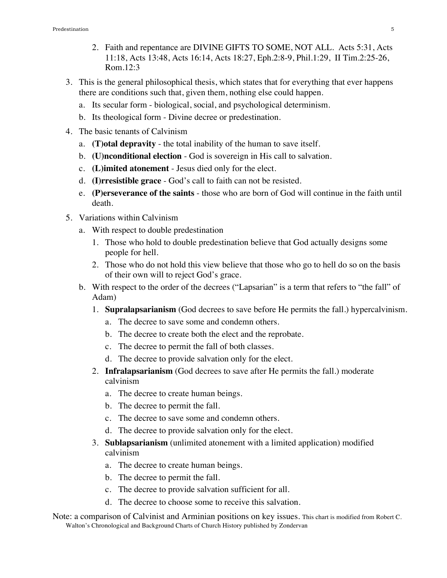- 2. Faith and repentance are DIVINE GIFTS TO SOME, NOT ALL. Acts 5:31, Acts 11:18, Acts 13:48, Acts 16:14, Acts 18:27, Eph.2:8-9, Phil.1:29, II Tim.2:25-26, Rom.12:3
- 3. This is the general philosophical thesis, which states that for everything that ever happens there are conditions such that, given them, nothing else could happen.
	- a. Its secular form biological, social, and psychological determinism.
	- b. Its theological form Divine decree or predestination.
- 4. The basic tenants of Calvinism
	- a. **(T)otal depravity** the total inability of the human to save itself.
	- b. **(U)nconditional election** God is sovereign in His call to salvation.
	- c. **(L)imited atonement** Jesus died only for the elect.
	- d. **(I)rresistible grace** God's call to faith can not be resisted.
	- e. **(P)erseverance of the saints** those who are born of God will continue in the faith until death.
- 5. Variations within Calvinism
	- a. With respect to double predestination
		- 1. Those who hold to double predestination believe that God actually designs some people for hell.
		- 2. Those who do not hold this view believe that those who go to hell do so on the basis of their own will to reject God's grace.
	- b. With respect to the order of the decrees ("Lapsarian" is a term that refers to "the fall" of Adam)
		- 1. **Supralapsarianism** (God decrees to save before He permits the fall.) hypercalvinism.
			- a. The decree to save some and condemn others.
			- b. The decree to create both the elect and the reprobate.
			- c. The decree to permit the fall of both classes.
			- d. The decree to provide salvation only for the elect.
		- 2. **Infralapsarianism** (God decrees to save after He permits the fall.) moderate calvinism
			- a. The decree to create human beings.
			- b. The decree to permit the fall.
			- c. The decree to save some and condemn others.
			- d. The decree to provide salvation only for the elect.
		- 3. **Sublapsarianism** (unlimited atonement with a limited application) modified calvinism
			- a. The decree to create human beings.
			- b. The decree to permit the fall.
			- c. The decree to provide salvation sufficient for all.
			- d. The decree to choose some to receive this salvation.
- Note: a comparison of Calvinist and Arminian positions on key issues. This chart is modified from Robert C. Walton's Chronological and Background Charts of Church History published by Zondervan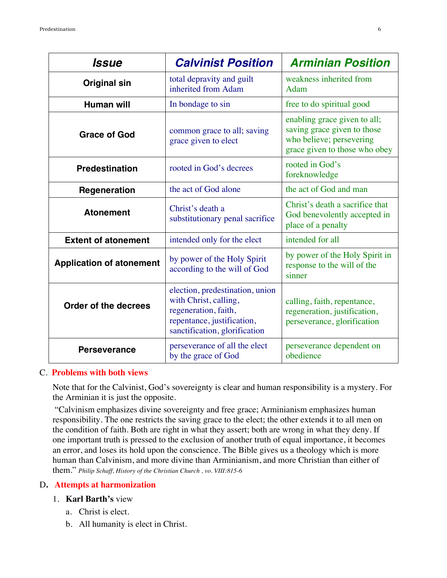| Issue                           | <b>Calvinist Position</b>                                                                                                                       | <b>Arminian Position</b>                                                                                                 |
|---------------------------------|-------------------------------------------------------------------------------------------------------------------------------------------------|--------------------------------------------------------------------------------------------------------------------------|
| <b>Original sin</b>             | total depravity and guilt<br>inherited from Adam                                                                                                | weakness inherited from<br>Adam                                                                                          |
| <b>Human will</b>               | In bondage to sin                                                                                                                               | free to do spiritual good                                                                                                |
| <b>Grace of God</b>             | common grace to all; saving<br>grace given to elect                                                                                             | enabling grace given to all;<br>saving grace given to those<br>who believe; persevering<br>grace given to those who obey |
| <b>Predestination</b>           | rooted in God's decrees                                                                                                                         | rooted in God's<br>foreknowledge                                                                                         |
| Regeneration                    | the act of God alone                                                                                                                            | the act of God and man                                                                                                   |
| <b>Atonement</b>                | Christ's death a<br>substitutionary penal sacrifice                                                                                             | Christ's death a sacrifice that<br>God benevolently accepted in<br>place of a penalty                                    |
| <b>Extent of atonement</b>      | intended only for the elect                                                                                                                     | intended for all                                                                                                         |
| <b>Application of atonement</b> | by power of the Holy Spirit<br>according to the will of God                                                                                     | by power of the Holy Spirit in<br>response to the will of the<br>sinner                                                  |
| Order of the decrees            | election, predestination, union<br>with Christ, calling,<br>regeneration, faith,<br>repentance, justification,<br>sanctification, glorification | calling, faith, repentance,<br>regeneration, justification,<br>perseverance, glorification                               |
| <b>Perseverance</b>             | perseverance of all the elect<br>by the grace of God                                                                                            | perseverance dependent on<br>obedience                                                                                   |

#### C. **Problems with both views**

Note that for the Calvinist, God's sovereignty is clear and human responsibility is a mystery. For the Arminian it is just the opposite.

 "Calvinism emphasizes divine sovereignty and free grace; Arminianism emphasizes human responsibility. The one restricts the saving grace to the elect; the other extends it to all men on the condition of faith. Both are right in what they assert; both are wrong in what they deny. If one important truth is pressed to the exclusion of another truth of equal importance, it becomes an error, and loses its hold upon the conscience. The Bible gives us a theology which is more human than Calvinism, and more divine than Arminianism, and more Christian than either of them." *Philip Schaff, History of the Christian Church , vo. VIII:815-6*

### D**. Attempts at harmonization**

### 1. **Karl Barth's** view

- a. Christ is elect.
- b. All humanity is elect in Christ.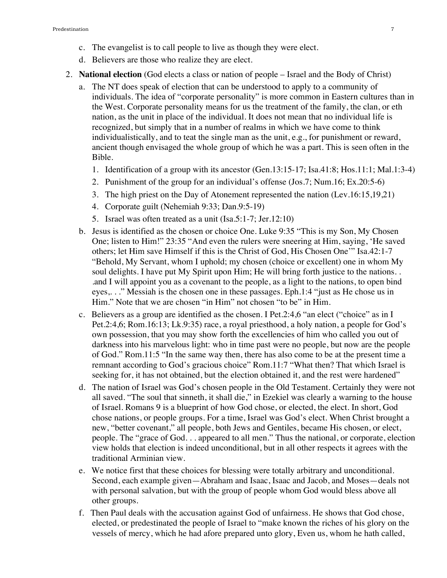- c. The evangelist is to call people to live as though they were elect.
- d. Believers are those who realize they are elect.
- 2. **National election** (God elects a class or nation of people Israel and the Body of Christ)
	- a. The NT does speak of election that can be understood to apply to a community of individuals. The idea of "corporate personality" is more common in Eastern cultures than in the West. Corporate personality means for us the treatment of the family, the clan, or eth nation, as the unit in place of the individual. It does not mean that no individual life is recognized, but simply that in a number of realms in which we have come to think individualistically, and to teat the single man as the unit, e.g., for punishment or reward, ancient though envisaged the whole group of which he was a part. This is seen often in the Bible.
		- 1. Identification of a group with its ancestor (Gen.13:15-17; Isa.41:8; Hos.11:1; Mal.1:3-4)
		- 2. Punishment of the group for an individual's offense (Jos.7; Num.16; Ex.20:5-6)
		- 3. The high priest on the Day of Atonement represented the nation (Lev.16:15,19,21)
		- 4. Corporate guilt (Nehemiah 9:33; Dan.9:5-19)
		- 5. Israel was often treated as a unit (Isa.5:1-7; Jer.12:10)
	- b. Jesus is identified as the chosen or choice One. Luke 9:35 "This is my Son, My Chosen One; listen to Him!" 23:35 "And even the rulers were sneering at Him, saying, 'He saved others; let Him save Himself if this is the Christ of God, His Chosen One'" Isa.42:1-7 "Behold, My Servant, whom I uphold; my chosen (choice or excellent) one in whom My soul delights. I have put My Spirit upon Him; He will bring forth justice to the nations.. .and I will appoint you as a covenant to the people, as a light to the nations, to open bind eyes,. . ." Messiah is the chosen one in these passages. Eph.1:4 "just as He chose us in Him." Note that we are chosen "in Him" not chosen "to be" in Him.
	- c. Believers as a group are identified as the chosen. I Pet.2:4,6 "an elect ("choice" as in I Pet.2:4,6; Rom.16:13; Lk.9:35) race, a royal priesthood, a holy nation, a people for God's own possession, that you may show forth the excellencies of him who called you out of darkness into his marvelous light: who in time past were no people, but now are the people of God." Rom.11:5 "In the same way then, there has also come to be at the present time a remnant according to God's gracious choice" Rom.11:7 "What then? That which Israel is seeking for, it has not obtained, but the election obtained it, and the rest were hardened"
	- d. The nation of Israel was God's chosen people in the Old Testament. Certainly they were not all saved. "The soul that sinneth, it shall die," in Ezekiel was clearly a warning to the house of Israel. Romans 9 is a blueprint of how God chose, or elected, the elect. In short, God chose nations, or people groups. For a time, Israel was God's elect. When Christ brought a new, "better covenant," all people, both Jews and Gentiles, became His chosen, or elect, people. The "grace of God. . . appeared to all men." Thus the national, or corporate, election view holds that election is indeed unconditional, but in all other respects it agrees with the traditional Arminian view.
	- e. We notice first that these choices for blessing were totally arbitrary and unconditional. Second, each example given—Abraham and Isaac, Isaac and Jacob, and Moses—deals not with personal salvation, but with the group of people whom God would bless above all other groups.
	- f. Then Paul deals with the accusation against God of unfairness. He shows that God chose, elected, or predestinated the people of Israel to "make known the riches of his glory on the vessels of mercy, which he had afore prepared unto glory, Even us, whom he hath called,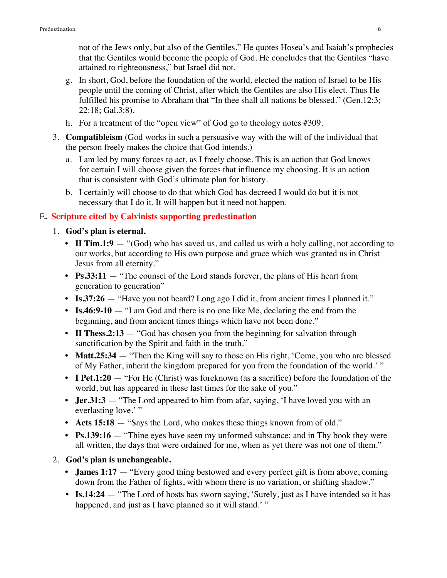not of the Jews only, but also of the Gentiles." He quotes Hosea's and Isaiah's prophecies that the Gentiles would become the people of God. He concludes that the Gentiles "have attained to righteousness," but Israel did not.

- g. In short, God, before the foundation of the world, elected the nation of Israel to be His people until the coming of Christ, after which the Gentiles are also His elect. Thus He fulfilled his promise to Abraham that "In thee shall all nations be blessed." (Gen.12:3; 22:18; Gal.3:8).
- h. For a treatment of the "open view" of God go to theology notes #309.
- 3. **Compatibleism** (God works in such a persuasive way with the will of the individual that the person freely makes the choice that God intends.)
	- a. I am led by many forces to act, as I freely choose. This is an action that God knows for certain I will choose given the forces that influence my choosing. It is an action that is consistent with God's ultimate plan for history.
	- b. I certainly will choose to do that which God has decreed I would do but it is not necessary that I do it. It will happen but it need not happen.

### E**. Scripture cited by Calvinists supporting predestination**

- 1. **God's plan is eternal.**
	- **II Tim.1:9** "(God) who has saved us, and called us with a holy calling, not according to our works, but according to His own purpose and grace which was granted us in Christ Jesus from all eternity."
	- **• Ps.33:11** "The counsel of the Lord stands forever, the plans of His heart from generation to generation"
	- **Is.37:26** "Have you not heard? Long ago I did it, from ancient times I planned it."
	- **• Is.46:9-10** "I am God and there is no one like Me, declaring the end from the beginning, and from ancient times things which have not been done."
	- **II Thess.2:13** "God has chosen you from the beginning for salvation through sanctification by the Spirit and faith in the truth."
	- **Matt.25:34** "Then the King will say to those on His right, 'Come, you who are blessed of My Father, inherit the kingdom prepared for you from the foundation of the world.' "
	- **I Pet.1:20** "For He (Christ) was foreknown (as a sacrifice) before the foundation of the world, but has appeared in these last times for the sake of you."
	- **Jer.31:3** "The Lord appeared to him from afar, saying, 'I have loved you with an everlasting love.'"
	- **Acts 15:18** "Says the Lord, who makes these things known from of old."
	- **Ps.139:16** "Thine eyes have seen my unformed substance; and in Thy book they were all written, the days that were ordained for me, when as yet there was not one of them."

### 2. **God's plan is unchangeable.**

- **James 1:17** "Every good thing bestowed and every perfect gift is from above, coming down from the Father of lights, with whom there is no variation, or shifting shadow."
- **Is.14:24** "The Lord of hosts has sworn saying, 'Surely, just as I have intended so it has happened, and just as I have planned so it will stand.' "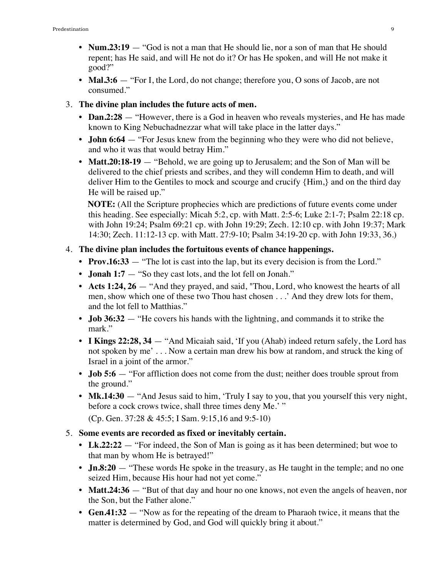- **Num.23:19** "God is not a man that He should lie, nor a son of man that He should repent; has He said, and will He not do it? Or has He spoken, and will He not make it good?"
- **Mal.3:6** "For I, the Lord, do not change; therefore you, O sons of Jacob, are not consumed."
- 3. **The divine plan includes the future acts of men.**
	- **Dan.2:28** "However, there is a God in heaven who reveals mysteries, and He has made known to King Nebuchadnezzar what will take place in the latter days."
	- **John 6:64** "For Jesus knew from the beginning who they were who did not believe, and who it was that would betray Him."
	- **Matt.20:18-19** "Behold, we are going up to Jerusalem; and the Son of Man will be delivered to the chief priests and scribes, and they will condemn Him to death, and will deliver Him to the Gentiles to mock and scourge and crucify {Him,} and on the third day He will be raised up."

 **NOTE:** (All the Scripture prophecies which are predictions of future events come under this heading. See especially: Micah 5:2, cp. with Matt. 2:5-6; Luke 2:1-7; Psalm 22:18 cp. with John 19:24; Psalm 69:21 cp. with John 19:29; Zech. 12:10 cp. with John 19:37; Mark 14:30; Zech. 11:12-13 cp. with Matt. 27:9-10; Psalm 34:19-20 cp. with John 19:33, 36.)

### 4. **The divine plan includes the fortuitous events of chance happenings.**

- **Prov.16:33** "The lot is cast into the lap, but its every decision is from the Lord."
- **Jonah 1:7** "So they cast lots, and the lot fell on Jonah."
- **Acts 1:24, 26** "And they prayed, and said, "Thou, Lord, who knowest the hearts of all men, show which one of these two Thou hast chosen . . .' And they drew lots for them, and the lot fell to Matthias."
- **Job 36:32** "He covers his hands with the lightning, and commands it to strike the mark."
- **I Kings 22:28, 34** "And Micaiah said, 'If you (Ahab) indeed return safely, the Lord has not spoken by me' . . . Now a certain man drew his bow at random, and struck the king of Israel in a joint of the armor."
- **Job 5:6** "For affliction does not come from the dust; neither does trouble sprout from the ground."
- **Mk.14:30** "And Jesus said to him, 'Truly I say to you, that you yourself this very night, before a cock crows twice, shall three times deny Me.' "

(Cp. Gen. 37:28 & 45:5; I Sam. 9:15,16 and 9:5-10)

### 5. **Some events are recorded as fixed or inevitably certain.**

- Lk.22:22 "For indeed, the Son of Man is going as it has been determined; but woe to that man by whom He is betrayed!"
- **Jn.8:20** "These words He spoke in the treasury, as He taught in the temple; and no one seized Him, because His hour had not yet come."
- **Matt.24:36** "But of that day and hour no one knows, not even the angels of heaven, nor the Son, but the Father alone."
- **• Gen.41:32** "Now as for the repeating of the dream to Pharaoh twice, it means that the matter is determined by God, and God will quickly bring it about."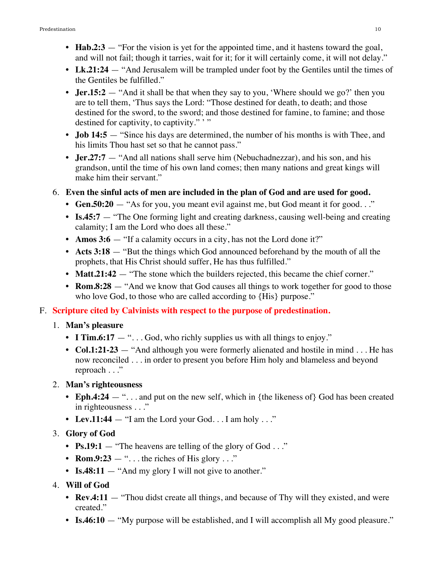- **Hab.2:3** "For the vision is yet for the appointed time, and it hastens toward the goal, and will not fail; though it tarries, wait for it; for it will certainly come, it will not delay."
- Lk.21:24 "And Jerusalem will be trampled under foot by the Gentiles until the times of the Gentiles be fulfilled."
- **Jer.15:2** "And it shall be that when they say to you, 'Where should we go?' then you are to tell them, 'Thus says the Lord: "Those destined for death, to death; and those destined for the sword, to the sword; and those destined for famine, to famine; and those destined for captivity, to captivity.""
- **• Job 14:5** "Since his days are determined, the number of his months is with Thee, and his limits Thou hast set so that he cannot pass."
- **• Jer.27:7** "And all nations shall serve him (Nebuchadnezzar), and his son, and his grandson, until the time of his own land comes; then many nations and great kings will make him their servant."
- 6. **Even the sinful acts of men are included in the plan of God and are used for good.**
	- **Gen.50:20** "As for you, you meant evil against me, but God meant it for good..."
	- **Is.45:7** "The One forming light and creating darkness, causing well-being and creating calamity; I am the Lord who does all these."
	- **Amos 3:6** "If a calamity occurs in a city, has not the Lord done it?"
	- **• Acts 3:18**  "But the things which God announced beforehand by the mouth of all the prophets, that His Christ should suffer, He has thus fulfilled."
	- **Matt.21:42** "The stone which the builders rejected, this became the chief corner."
	- **Rom.8:28** "And we know that God causes all things to work together for good to those who love God, to those who are called according to  ${His}$  purpose."

## F. **Scripture cited by Calvinists with respect to the purpose of predestination.**

### 1. **Man's pleasure**

- **I Tim.6:17** "... God, who richly supplies us with all things to enjoy."
- **Col.1:21-23** "And although you were formerly alienated and hostile in mind . . . He has now reconciled . . . in order to present you before Him holy and blameless and beyond reproach . . ."

### 2. **Man's righteousness**

- **Eph.4:24** "... and put on the new self, which in {the likeness of} God has been created in righteousness . . ."
- Lev.11:44 "I am the Lord your God. . . I am holy . . ."

## 3. **Glory of God**

- **Ps.19:1** "The heavens are telling of the glory of God . . ."
- **Rom.9:23** "... the riches of His glory ..."
- **Is.48:11** "And my glory I will not give to another."
- 4. **Will of God**
	- **Rev.4:11** "Thou didst create all things, and because of Thy will they existed, and were created."
	- **Is.46:10** "My purpose will be established, and I will accomplish all My good pleasure."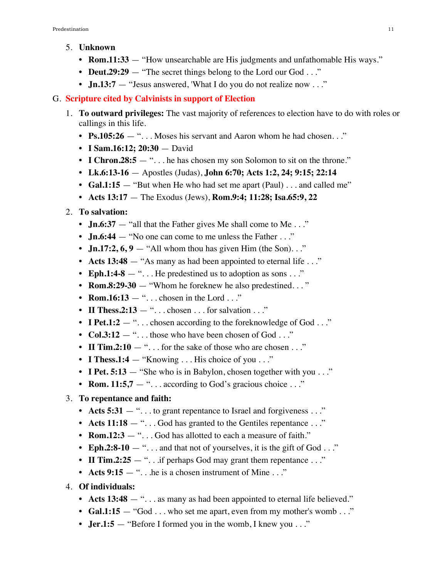- 5. **Unknown**
	- **• Rom.11:33** "How unsearchable are His judgments and unfathomable His ways."
	- **Deut.29:29** "The secret things belong to the Lord our God . . ."
	- **Jn.13:7** "Jesus answered, 'What I do you do not realize now . . ."

### G. **Scripture cited by Calvinists in support of Election**

- 1. **To outward privileges:** The vast majority of references to election have to do with roles or callings in this life.
	- **Ps.105:26** "... Moses his servant and Aaron whom he had chosen..."
	- **• I Sam.16:12; 20:30** David
	- **I Chron.28:5** "... he has chosen my son Solomon to sit on the throne."
	- **• Lk.6:13-16** Apostles (Judas), **John 6:70; Acts 1:2, 24; 9:15; 22:14**
	- **Gal.1:15** "But when He who had set me apart (Paul) . . . and called me"
	- **• Acts 13:17** The Exodus (Jews), **Rom.9:4; 11:28; Isa.65:9, 22**
- 2. **To salvation:**
	- **Jn.6:37** "all that the Father gives Me shall come to Me . . ."
	- **Jn.6:44** "No one can come to me unless the Father . . ."
	- **Jn.17:2, 6, 9** "All whom thou has given Him (the Son). . ."
	- **Acts 13:48** "As many as had been appointed to eternal life . . ."
	- **Eph.1:4-8** "... He predestined us to adoption as sons ..."
	- **Rom.8:29-30** "Whom he foreknew he also predestined..."
	- **Rom.16:13** " $\dots$  chosen in the Lord  $\dots$ "
	- **II Thess.2:13** " $\dots$  chosen  $\dots$  for salvation  $\dots$ "
	- **I Pet.1:2** "... chosen according to the foreknowledge of God ..."
	- **Col.3:12** "... those who have been chosen of God ..."
	- **II Tim.2:10** "... for the sake of those who are chosen ..."
	- **I Thess.1:4** "Knowing . . . His choice of you . . ."
	- **I Pet. 5:13** "She who is in Babylon, chosen together with you . . ."
	- **Rom. 11:5,7** "... according to God's gracious choice ..."
- 3. **To repentance and faith:**
	- **Acts 5:31** "... to grant repentance to Israel and forgiveness ..."
	- **Acts 11:18** "... God has granted to the Gentiles repentance ..."
	- **Rom.12:3** "... God has allotted to each a measure of faith."
	- **Eph.2:8-10** "... and that not of yourselves, it is the gift of God ..."
	- **II Tim.2:25** "... if perhaps God may grant them repentance ..."
	- **Acts 9:15** "... he is a chosen instrument of Mine ..."
- 4. **Of individuals:**
	- **Acts 13:48** "... as many as had been appointed to eternal life believed."
	- **Gal.1:15** "God . . . who set me apart, even from my mother's womb . . ."
	- **Jer.1:5** "Before I formed you in the womb, I knew you . . ."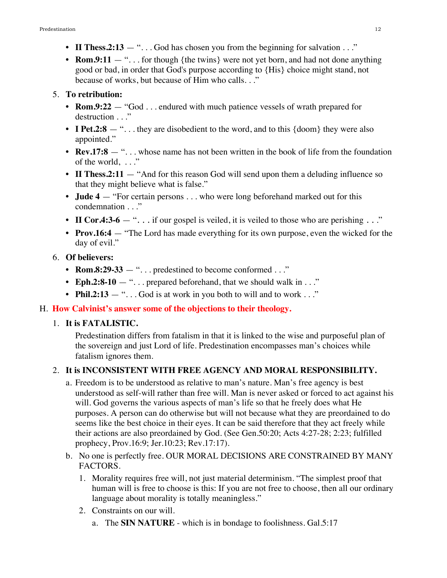- **II Thess.2:13** "... God has chosen you from the beginning for salvation ..."
- **Rom.9:11** "... for though {the twins} were not yet born, and had not done anything good or bad, in order that God's purpose according to {His} choice might stand, not because of works, but because of Him who calls. . ."

### 5. **To retribution:**

- **• Rom.9:22** "God . . . endured with much patience vessels of wrath prepared for destruction . . ."
- **I Pet.2:8** "... they are disobedient to the word, and to this {doom} they were also appointed."
- **Rev.17:8** "... whose name has not been written in the book of life from the foundation of the world,  $\ldots$
- **II Thess.2:11** "And for this reason God will send upon them a deluding influence so that they might believe what is false."
- **Jude 4** "For certain persons . . . who were long beforehand marked out for this condemnation . . ."
- **II Cor.4:3-6** "... if our gospel is veiled, it is veiled to those who are perishing ..."
- **• Prov.16:4** "The Lord has made everything for its own purpose, even the wicked for the day of evil."
- 6. **Of believers:**
	- **• Rom.8:29-33**  ". . . predestined to become conformed . . ."
	- **Eph.2:8-10** "... prepared beforehand, that we should walk in ..."
	- **Phil.2:13** "... God is at work in you both to will and to work ..."

## H. **How Calvinist's answer some of the objections to their theology.**

## 1. **It is FATALISTIC.**

Predestination differs from fatalism in that it is linked to the wise and purposeful plan of the sovereign and just Lord of life. Predestination encompasses man's choices while fatalism ignores them.

## 2. **It is INCONSISTENT WITH FREE AGENCY AND MORAL RESPONSIBILITY.**

- a. Freedom is to be understood as relative to man's nature. Man's free agency is best understood as self-will rather than free will. Man is never asked or forced to act against his will. God governs the various aspects of man's life so that he freely does what He purposes. A person can do otherwise but will not because what they are preordained to do seems like the best choice in their eyes. It can be said therefore that they act freely while their actions are also preordained by God. (See Gen.50:20; Acts 4:27-28; 2:23; fulfilled prophecy, Prov.16:9; Jer.10:23; Rev.17:17).
- b. No one is perfectly free. OUR MORAL DECISIONS ARE CONSTRAINED BY MANY FACTORS.
	- 1. Morality requires free will, not just material determinism. "The simplest proof that human will is free to choose is this: If you are not free to choose, then all our ordinary language about morality is totally meaningless."
	- 2. Constraints on our will.
		- a. The **SIN NATURE**  which is in bondage to foolishness. Gal.5:17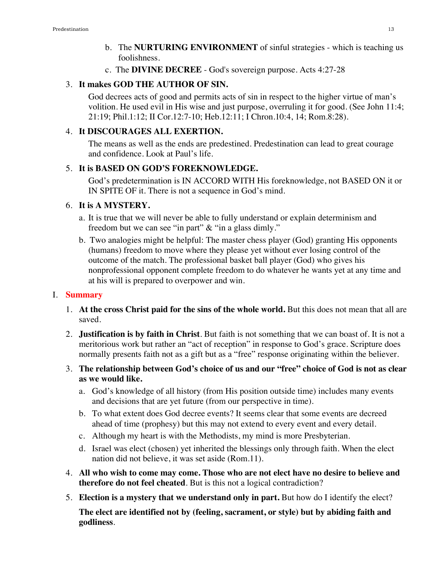- b. The **NURTURING ENVIRONMENT** of sinful strategies which is teaching us foolishness.
- c. The **DIVINE DECREE** God's sovereign purpose. Acts 4:27-28

### 3. **It makes GOD THE AUTHOR OF SIN.**

God decrees acts of good and permits acts of sin in respect to the higher virtue of man's volition. He used evil in His wise and just purpose, overruling it for good. (See John 11:4; 21:19; Phil.1:12; II Cor.12:7-10; Heb.12:11; I Chron.10:4, 14; Rom.8:28).

### 4. **It DISCOURAGES ALL EXERTION.**

The means as well as the ends are predestined. Predestination can lead to great courage and confidence. Look at Paul's life.

### 5. **It is BASED ON GOD'S FOREKNOWLEDGE.**

God's predetermination is IN ACCORD WITH His foreknowledge, not BASED ON it or IN SPITE OF it. There is not a sequence in God's mind.

### 6. **It is A MYSTERY.**

- a. It is true that we will never be able to fully understand or explain determinism and freedom but we can see "in part" & "in a glass dimly."
- b. Two analogies might be helpful: The master chess player (God) granting His opponents (humans) freedom to move where they please yet without ever losing control of the outcome of the match. The professional basket ball player (God) who gives his nonprofessional opponent complete freedom to do whatever he wants yet at any time and at his will is prepared to overpower and win.

### I. **Summary**

- 1. **At the cross Christ paid for the sins of the whole world.** But this does not mean that all are saved.
- 2. **Justification is by faith in Christ**. But faith is not something that we can boast of. It is not a meritorious work but rather an "act of reception" in response to God's grace. Scripture does normally presents faith not as a gift but as a "free" response originating within the believer.
- 3. **The relationship between God's choice of us and our "free" choice of God is not as clear as we would like.**
	- a. God's knowledge of all history (from His position outside time) includes many events and decisions that are yet future (from our perspective in time).
	- b. To what extent does God decree events? It seems clear that some events are decreed ahead of time (prophesy) but this may not extend to every event and every detail.
	- c. Although my heart is with the Methodists, my mind is more Presbyterian.
	- d. Israel was elect (chosen) yet inherited the blessings only through faith. When the elect nation did not believe, it was set aside (Rom.11).
- 4. **All who wish to come may come. Those who are not elect have no desire to believe and therefore do not feel cheated**. But is this not a logical contradiction?
- 5. **Election is a mystery that we understand only in part.** But how do I identify the elect?

**The elect are identified not by (feeling, sacrament, or style) but by abiding faith and godliness**.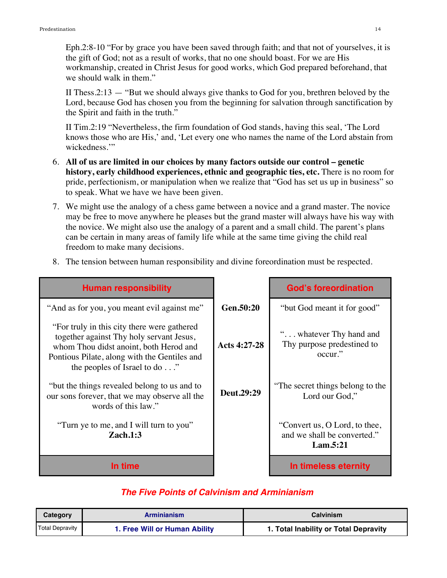Eph.2:8-10 "For by grace you have been saved through faith; and that not of yourselves, it is the gift of God; not as a result of works, that no one should boast. For we are His workmanship, created in Christ Jesus for good works, which God prepared beforehand, that we should walk in them."

II Thess.  $2:13 -$  "But we should always give thanks to God for you, brethren beloved by the Lord, because God has chosen you from the beginning for salvation through sanctification by the Spirit and faith in the truth."

II Tim.2:19 "Nevertheless, the firm foundation of God stands, having this seal, 'The Lord knows those who are His,' and, 'Let every one who names the name of the Lord abstain from wickedness."

- 6. **All of us are limited in our choices by many factors outside our control genetic history, early childhood experiences, ethnic and geographic ties, etc.** There is no room for pride, perfectionism, or manipulation when we realize that "God has set us up in business" so to speak. What we have we have been given.
- 7. We might use the analogy of a chess game between a novice and a grand master. The novice may be free to move anywhere he pleases but the grand master will always have his way with the novice. We might also use the analogy of a parent and a small child. The parent's plans can be certain in many areas of family life while at the same time giving the child real freedom to make many decisions.

| <b>Human responsibility</b>                                                                                                                                                                                        |                | <b>God's foreordination</b>                                              |
|--------------------------------------------------------------------------------------------------------------------------------------------------------------------------------------------------------------------|----------------|--------------------------------------------------------------------------|
| "And as for you, you meant evil against me"                                                                                                                                                                        | Gen.50:20      | "but God meant it for good"                                              |
| "For truly in this city there were gathered"<br>together against Thy holy servant Jesus,<br>whom Thou didst anoint, both Herod and<br>Pontious Pilate, along with the Gentiles and<br>the peoples of Israel to do" | Acts $4:27-28$ | " whatever Thy hand and<br>Thy purpose predestined to<br>occur."         |
| "but the things revealed belong to us and to<br>our sons forever, that we may observe all the<br>words of this law."                                                                                               | Deut.29:29     | "The secret things belong to the<br>Lord our God,"                       |
| "Turn ye to me, and I will turn to you"<br>Zach.1:3                                                                                                                                                                |                | "Convert us, O Lord, to thee,<br>and we shall be converted."<br>Lam.5:21 |
| In time                                                                                                                                                                                                            |                | In timeless eternity                                                     |

8. The tension between human responsibility and divine foreordination must be respected.

### *The Five Points of Calvinism and Arminianism*

| <b>Category</b>        | Arminianism                   | <b>Calvinism</b>                      |
|------------------------|-------------------------------|---------------------------------------|
| <b>Total Depravity</b> | 1. Free Will or Human Ability | 1. Total Inability or Total Depravity |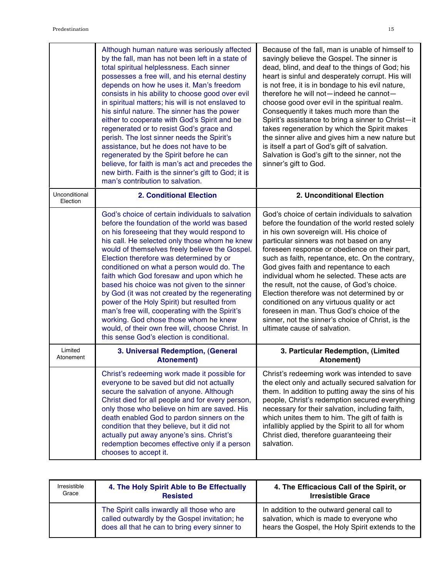|                           | Although human nature was seriously affected                                                                                                                                                                                                                                                                                                                                                                                                                                                                                                                                                                                                                                                                                           | Because of the fall, man is unable of himself to                                                                                                                                                                                                                                                                                                                                                                                                                                                                                                                                                                                                                        |
|---------------------------|----------------------------------------------------------------------------------------------------------------------------------------------------------------------------------------------------------------------------------------------------------------------------------------------------------------------------------------------------------------------------------------------------------------------------------------------------------------------------------------------------------------------------------------------------------------------------------------------------------------------------------------------------------------------------------------------------------------------------------------|-------------------------------------------------------------------------------------------------------------------------------------------------------------------------------------------------------------------------------------------------------------------------------------------------------------------------------------------------------------------------------------------------------------------------------------------------------------------------------------------------------------------------------------------------------------------------------------------------------------------------------------------------------------------------|
|                           | by the fall, man has not been left in a state of<br>total spiritual helplessness. Each sinner<br>possesses a free will, and his eternal destiny<br>depends on how he uses it. Man's freedom<br>consists in his ability to choose good over evil<br>in spiritual matters; his will is not enslaved to<br>his sinful nature. The sinner has the power<br>either to cooperate with God's Spirit and be<br>regenerated or to resist God's grace and<br>perish. The lost sinner needs the Spirit's<br>assistance, but he does not have to be<br>regenerated by the Spirit before he can<br>believe, for faith is man's act and precedes the<br>new birth. Faith is the sinner's gift to God; it is<br>man's contribution to salvation.      | savingly believe the Gospel. The sinner is<br>dead, blind, and deaf to the things of God; his<br>heart is sinful and desperately corrupt. His will<br>is not free, it is in bondage to his evil nature,<br>therefore he will not-indeed he cannot-<br>choose good over evil in the spiritual realm.<br>Consequently it takes much more than the<br>Spirit's assistance to bring a sinner to Christ-it<br>takes regeneration by which the Spirit makes<br>the sinner alive and gives him a new nature but<br>is itself a part of God's gift of salvation.<br>Salvation is God's gift to the sinner, not the<br>sinner's gift to God.                                     |
| Unconditional<br>Election | <b>2. Conditional Election</b>                                                                                                                                                                                                                                                                                                                                                                                                                                                                                                                                                                                                                                                                                                         | 2. Unconditional Election                                                                                                                                                                                                                                                                                                                                                                                                                                                                                                                                                                                                                                               |
|                           | God's choice of certain individuals to salvation<br>before the foundation of the world was based<br>on his foreseeing that they would respond to<br>his call. He selected only those whom he knew<br>would of themselves freely believe the Gospel.<br>Election therefore was determined by or<br>conditioned on what a person would do. The<br>faith which God foresaw and upon which he<br>based his choice was not given to the sinner<br>by God (it was not created by the regenerating<br>power of the Holy Spirit) but resulted from<br>man's free will, cooperating with the Spirit's<br>working. God chose those whom he knew<br>would, of their own free will, choose Christ. In<br>this sense God's election is conditional. | God's choice of certain individuals to salvation<br>before the foundation of the world rested solely<br>in his own sovereign will. His choice of<br>particular sinners was not based on any<br>foreseen response or obedience on their part,<br>such as faith, repentance, etc. On the contrary,<br>God gives faith and repentance to each<br>individual whom he selected. These acts are<br>the result, not the cause, of God's choice.<br>Election therefore was not determined by or<br>conditioned on any virtuous quality or act<br>foreseen in man. Thus God's choice of the<br>sinner, not the sinner's choice of Christ, is the<br>ultimate cause of salvation. |
| Limited<br>Atonement      | 3. Universal Redemption, (General<br><b>Atonement)</b>                                                                                                                                                                                                                                                                                                                                                                                                                                                                                                                                                                                                                                                                                 | 3. Particular Redemption, (Limited<br>Atonement)                                                                                                                                                                                                                                                                                                                                                                                                                                                                                                                                                                                                                        |
|                           | Christ's redeeming work made it possible for<br>everyone to be saved but did not actually<br>secure the salvation of anyone. Although<br>Christ died for all people and for every person,<br>only those who believe on him are saved. His<br>death enabled God to pardon sinners on the<br>condition that they believe, but it did not<br>actually put away anyone's sins. Christ's<br>redemption becomes effective only if a person<br>chooses to accept it.                                                                                                                                                                                                                                                                          | Christ's redeeming work was intended to save<br>the elect only and actually secured salvation for<br>them. In addition to putting away the sins of his<br>people, Christ's redemption secured everything<br>necessary for their salvation, including faith,<br>which unites them to him. The gift of faith is<br>infallibly applied by the Spirit to all for whom<br>Christ died, therefore guaranteeing their<br>salvation.                                                                                                                                                                                                                                            |

| Irresistible | 4. The Holy Spirit Able to Be Effectually                                                                                                     | 4. The Efficacious Call of the Spirit, or                                                                                                  |  |
|--------------|-----------------------------------------------------------------------------------------------------------------------------------------------|--------------------------------------------------------------------------------------------------------------------------------------------|--|
| Grace        | <b>Resisted</b>                                                                                                                               | <b>Irresistible Grace</b>                                                                                                                  |  |
|              | The Spirit calls inwardly all those who are<br>called outwardly by the Gospel invitation; he<br>does all that he can to bring every sinner to | In addition to the outward general call to<br>salvation, which is made to everyone who<br>hears the Gospel, the Holy Spirit extends to the |  |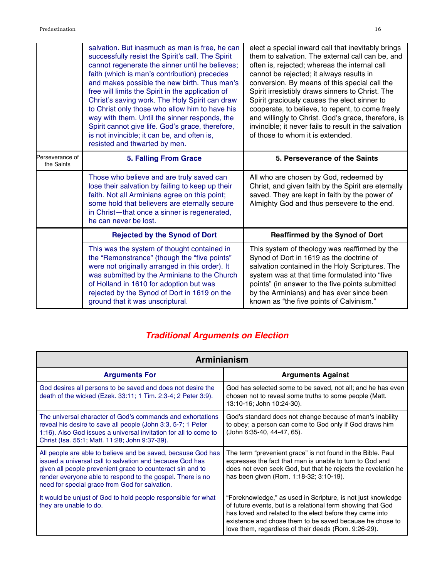|                               | salvation. But inasmuch as man is free, he can<br>successfully resist the Spirit's call. The Spirit<br>cannot regenerate the sinner until he believes;<br>faith (which is man's contribution) precedes<br>and makes possible the new birth. Thus man's<br>free will limits the Spirit in the application of<br>Christ's saving work. The Holy Spirit can draw<br>to Christ only those who allow him to have his<br>way with them. Until the sinner responds, the<br>Spirit cannot give life. God's grace, therefore,<br>is not invincible; it can be, and often is,<br>resisted and thwarted by men. | elect a special inward call that inevitably brings<br>them to salvation. The external call can be, and<br>often is, rejected; whereas the internal call<br>cannot be rejected; it always results in<br>conversion. By means of this special call the<br>Spirit irresistibly draws sinners to Christ. The<br>Spirit graciously causes the elect sinner to<br>cooperate, to believe, to repent, to come freely<br>and willingly to Christ. God's grace, therefore, is<br>invincible; it never fails to result in the salvation<br>of those to whom it is extended. |  |
|-------------------------------|------------------------------------------------------------------------------------------------------------------------------------------------------------------------------------------------------------------------------------------------------------------------------------------------------------------------------------------------------------------------------------------------------------------------------------------------------------------------------------------------------------------------------------------------------------------------------------------------------|------------------------------------------------------------------------------------------------------------------------------------------------------------------------------------------------------------------------------------------------------------------------------------------------------------------------------------------------------------------------------------------------------------------------------------------------------------------------------------------------------------------------------------------------------------------|--|
| Perseverance of<br>the Saints | <b>5. Falling From Grace</b>                                                                                                                                                                                                                                                                                                                                                                                                                                                                                                                                                                         | 5. Perseverance of the Saints                                                                                                                                                                                                                                                                                                                                                                                                                                                                                                                                    |  |
|                               | Those who believe and are truly saved can<br>lose their salvation by failing to keep up their<br>faith. Not all Arminians agree on this point;                                                                                                                                                                                                                                                                                                                                                                                                                                                       | All who are chosen by God, redeemed by<br>Christ, and given faith by the Spirit are eternally<br>saved. They are kept in faith by the power of                                                                                                                                                                                                                                                                                                                                                                                                                   |  |
|                               | some hold that believers are eternally secure<br>in Christ-that once a sinner is regenerated,<br>he can never be lost.                                                                                                                                                                                                                                                                                                                                                                                                                                                                               | Almighty God and thus persevere to the end.                                                                                                                                                                                                                                                                                                                                                                                                                                                                                                                      |  |
|                               | <b>Rejected by the Synod of Dort</b>                                                                                                                                                                                                                                                                                                                                                                                                                                                                                                                                                                 | <b>Reaffirmed by the Synod of Dort</b>                                                                                                                                                                                                                                                                                                                                                                                                                                                                                                                           |  |

# *Traditional Arguments on Election*

| Arminianism                                                                                                                                                                                                                                                                                            |                                                                                                                                                                                                                                                                                                             |  |
|--------------------------------------------------------------------------------------------------------------------------------------------------------------------------------------------------------------------------------------------------------------------------------------------------------|-------------------------------------------------------------------------------------------------------------------------------------------------------------------------------------------------------------------------------------------------------------------------------------------------------------|--|
| <b>Arguments For</b>                                                                                                                                                                                                                                                                                   | <b>Arguments Against</b>                                                                                                                                                                                                                                                                                    |  |
| God desires all persons to be saved and does not desire the<br>death of the wicked (Ezek. 33:11; 1 Tim. 2:3-4; 2 Peter 3:9).                                                                                                                                                                           | God has selected some to be saved, not all; and he has even<br>chosen not to reveal some truths to some people (Matt.<br>13:10-16; John 10:24-30).                                                                                                                                                          |  |
| The universal character of God's commands and exhortations<br>reveal his desire to save all people (John 3:3, 5-7; 1 Peter<br>1:16). Also God issues a universal invitation for all to come to<br>Christ (Isa. 55:1; Matt. 11:28; John 9:37-39).                                                       | God's standard does not change because of man's inability<br>to obey; a person can come to God only if God draws him<br>(John 6:35-40, 44-47, 65).                                                                                                                                                          |  |
| All people are able to believe and be saved, because God has<br>issued a universal call to salvation and because God has<br>given all people prevenient grace to counteract sin and to<br>render everyone able to respond to the gospel. There is no<br>need for special grace from God for salvation. | The term "prevenient grace" is not found in the Bible. Paul<br>expresses the fact that man is unable to turn to God and<br>does not even seek God, but that he rejects the revelation he<br>has been given (Rom. 1:18-32; 3:10-19).                                                                         |  |
| It would be unjust of God to hold people responsible for what<br>they are unable to do.                                                                                                                                                                                                                | "Foreknowledge," as used in Scripture, is not just knowledge<br>of future events, but is a relational term showing that God<br>has loved and related to the elect before they came into<br>existence and chose them to be saved because he chose to<br>love them, regardless of their deeds (Rom. 9:26-29). |  |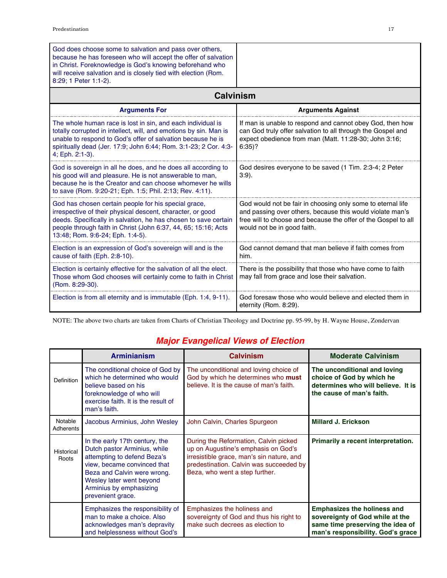| God does choose some to salvation and pass over others,<br>because he has foreseen who will accept the offer of salvation<br>in Christ. Foreknowledge is God's knowing beforehand who<br>will receive salvation and is closely tied with election (Rom.<br>8:29; 1 Peter 1:1-2).            |                                                                                                                                                                                                                           |  |
|---------------------------------------------------------------------------------------------------------------------------------------------------------------------------------------------------------------------------------------------------------------------------------------------|---------------------------------------------------------------------------------------------------------------------------------------------------------------------------------------------------------------------------|--|
| <b>Calvinism</b>                                                                                                                                                                                                                                                                            |                                                                                                                                                                                                                           |  |
| <b>Arguments For</b>                                                                                                                                                                                                                                                                        | <b>Arguments Against</b>                                                                                                                                                                                                  |  |
| The whole human race is lost in sin, and each individual is<br>totally corrupted in intellect, will, and emotions by sin. Man is<br>unable to respond to God's offer of salvation because he is<br>spiritually dead (Jer. 17:9; John 6:44; Rom. 3:1-23; 2 Cor. 4:3-<br>4; Eph. 2:1-3).      | If man is unable to respond and cannot obey God, then how<br>can God truly offer salvation to all through the Gospel and<br>expect obedience from man (Matt. 11:28-30; John 3:16;<br>$6:35$ ?                             |  |
| God is sovereign in all he does, and he does all according to<br>his good will and pleasure. He is not answerable to man,<br>because he is the Creator and can choose whomever he wills<br>to save (Rom. 9:20-21; Eph. 1:5; Phil. 2:13; Rev. 4:11).                                         | God desires everyone to be saved (1 Tim. 2:3-4; 2 Peter<br>$3:9$ ).                                                                                                                                                       |  |
| God has chosen certain people for his special grace,<br>irrespective of their physical descent, character, or good<br>deeds. Specifically in salvation, he has chosen to save certain<br>people through faith in Christ (John 6:37, 44, 65; 15:16; Acts<br>13:48; Rom. 9:6-24; Eph. 1:4-5). | God would not be fair in choosing only some to eternal life<br>and passing over others, because this would violate man's<br>free will to choose and because the offer of the Gospel to all<br>would not be in good faith. |  |
| Election is an expression of God's sovereign will and is the<br>cause of faith (Eph. 2:8-10).                                                                                                                                                                                               | God cannot demand that man believe if faith comes from<br>him.                                                                                                                                                            |  |
| Election is certainly effective for the salvation of all the elect.<br>Those whom God chooses will certainly come to faith in Christ<br>(Rom. 8:29-30).                                                                                                                                     | There is the possibility that those who have come to faith<br>may fall from grace and lose their salvation.                                                                                                               |  |
| Election is from all eternity and is immutable (Eph. 1:4, 9-11).                                                                                                                                                                                                                            | God foresaw those who would believe and elected them in<br>eternity (Rom. 8:29).                                                                                                                                          |  |

NOTE: The above two charts are taken from Charts of Christian Theology and Doctrine pp. 95-99, by H. Wayne House, Zondervan

# *Major Evangelical Views of Election*

|                      | <b>Arminianism</b>                                                                                                                                                                                                                      | <b>Calvinism</b>                                                                                                                                                                                       | <b>Moderate Calvinism</b>                                                                                                                      |
|----------------------|-----------------------------------------------------------------------------------------------------------------------------------------------------------------------------------------------------------------------------------------|--------------------------------------------------------------------------------------------------------------------------------------------------------------------------------------------------------|------------------------------------------------------------------------------------------------------------------------------------------------|
| <b>Definition</b>    | The conditional choice of God by<br>which he determined who would<br>believe based on his<br>foreknowledge of who will<br>exercise faith. It is the result of<br>man's faith.                                                           | The unconditional and loving choice of<br>God by which he determines who must<br>believe. It is the cause of man's faith.                                                                              | The unconditional and loving<br>choice of God by which he<br>determines who will believe. It is<br>the cause of man's faith.                   |
| Notable<br>Adherents | Jacobus Arminius, John Wesley                                                                                                                                                                                                           | John Calvin, Charles Spurgeon                                                                                                                                                                          | <b>Millard J. Erickson</b>                                                                                                                     |
| Historical<br>Roots  | In the early 17th century, the<br>Dutch pastor Arminius, while<br>attempting to defend Beza's<br>view, became convinced that<br>Beza and Calvin were wrong.<br>Wesley later went beyond<br>Arminius by emphasizing<br>prevenient grace. | During the Reformation, Calvin picked<br>up on Augustine's emphasis on God's<br>irresistible grace, man's sin nature, and<br>predestination. Calvin was succeeded by<br>Beza, who went a step further. | Primarily a recent interpretation.                                                                                                             |
|                      | Emphasizes the responsibility of<br>man to make a choice. Also<br>acknowledges man's depravity<br>and helplessness without God's                                                                                                        | Emphasizes the holiness and<br>sovereignty of God and thus his right to<br>make such decrees as election to                                                                                            | <b>Emphasizes the holiness and</b><br>sovereignty of God while at the<br>same time preserving the idea of<br>man's responsibility. God's grace |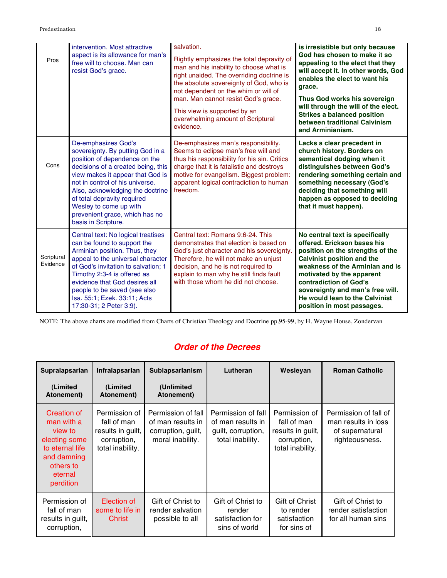| Pros                   | intervention. Most attractive<br>aspect is its allowance for man's<br>free will to choose. Man can<br>resist God's grace.                                                                                                                                                                                                                                   | salvation.<br>Rightly emphasizes the total depravity of<br>man and his inability to choose what is<br>right unaided. The overriding doctrine is<br>the absolute sovereignty of God, who is<br>not dependent on the whim or will of<br>man. Man cannot resist God's grace.<br>This view is supported by an<br>overwhelming amount of Scriptural<br>evidence. | is irresistible but only because<br>God has chosen to make it so<br>appealing to the elect that they<br>will accept it. In other words, God<br>enables the elect to want his<br>grace.<br>Thus God works his sovereign<br>will through the will of the elect.<br><b>Strikes a balanced position</b><br>between traditional Calvinism<br>and Arminianism. |
|------------------------|-------------------------------------------------------------------------------------------------------------------------------------------------------------------------------------------------------------------------------------------------------------------------------------------------------------------------------------------------------------|-------------------------------------------------------------------------------------------------------------------------------------------------------------------------------------------------------------------------------------------------------------------------------------------------------------------------------------------------------------|----------------------------------------------------------------------------------------------------------------------------------------------------------------------------------------------------------------------------------------------------------------------------------------------------------------------------------------------------------|
| Cons                   | De-emphasizes God's<br>sovereignty. By putting God in a<br>position of dependence on the<br>decisions of a created being, this<br>view makes it appear that God is<br>not in control of his universe.<br>Also, acknowledging the doctrine<br>of total depravity required<br>Wesley to come up with<br>prevenient grace, which has no<br>basis in Scripture. | De-emphasizes man's responsibility.<br>Seems to eclipse man's free will and<br>thus his responsibility for his sin. Critics<br>charge that it is fatalistic and destroys<br>motive for evangelism. Biggest problem:<br>apparent logical contradiction to human<br>freedom.                                                                                  | Lacks a clear precedent in<br>church history. Borders on<br>semantical dodging when it<br>distinguishes between God's<br>rendering something certain and<br>something necessary (God's<br>deciding that something will<br>happen as opposed to deciding<br>that it must happen).                                                                         |
| Scriptural<br>Evidence | Central text: No logical treatises<br>can be found to support the<br>Arminian position. Thus, they<br>appeal to the universal character<br>of God's invitation to salvation; 1<br>Timothy 2:3-4 is offered as<br>evidence that God desires all<br>people to be saved (see also<br>Isa. 55:1; Ezek. 33:11; Acts<br>17:30-31; 2 Peter 3:9).                   | Central text: Romans 9:6-24. This<br>demonstrates that election is based on<br>God's just character and his sovereignty.<br>Therefore, he will not make an unjust<br>decision, and he is not required to<br>explain to man why he still finds fault<br>with those whom he did not choose.                                                                   | No central text is specifically<br>offered. Erickson bases his<br>position on the strengths of the<br><b>Calvinist position and the</b><br>weakness of the Arminian and is<br>motivated by the apparent<br>contradiction of God's<br>sovereignty and man's free will.<br>He would lean to the Calvinist<br>position in most passages.                    |

NOTE: The above charts are modified from Charts of Christian Theology and Doctrine pp.95-99, by H. Wayne House, Zondervan

# *Order of the Decrees*

| Supralapsarian                                                                                                                      | Infralapsarian                                                                       | Sublapsarianism                                                                   | Lutheran                                                                          | Wesleyan                                                                             | <b>Roman Catholic</b>                                                             |
|-------------------------------------------------------------------------------------------------------------------------------------|--------------------------------------------------------------------------------------|-----------------------------------------------------------------------------------|-----------------------------------------------------------------------------------|--------------------------------------------------------------------------------------|-----------------------------------------------------------------------------------|
| (Limited<br>Atonement)                                                                                                              | (Limited<br>Atonement)                                                               | (Unlimited<br>Atonement)                                                          |                                                                                   |                                                                                      |                                                                                   |
| <b>Creation of</b><br>man with a<br>view to<br>electing some<br>to eternal life<br>and damning<br>others to<br>eternal<br>perdition | Permission of<br>fall of man<br>results in guilt,<br>corruption,<br>total inability. | Permission of fall<br>of man results in<br>corruption, guilt,<br>moral inability. | Permission of fall<br>of man results in<br>guilt, corruption,<br>total inability. | Permission of<br>fall of man<br>results in guilt,<br>corruption,<br>total inability. | Permission of fall of<br>man results in loss<br>of supernatural<br>righteousness. |
| Permission of<br>fall of man<br>results in guilt,<br>corruption,                                                                    | Election of<br>some to life in<br>Christ                                             | Gift of Christ to<br>render salvation<br>possible to all                          | Gift of Christ to<br>render<br>satisfaction for<br>sins of world                  | Gift of Christ<br>to render<br>satisfaction<br>for sins of                           | Gift of Christ to<br>render satisfaction<br>for all human sins                    |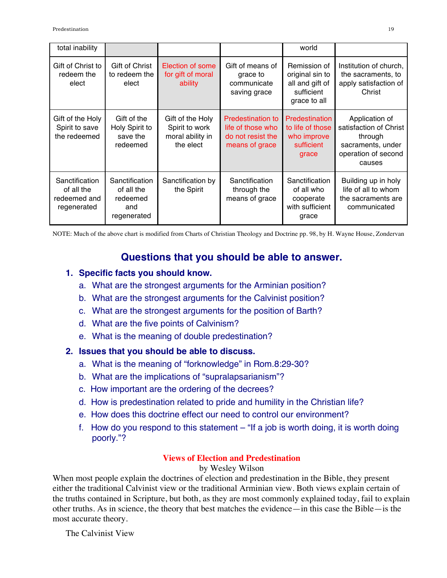| total inability                                             |                                                                |                                                                     |                                                                                      | world                                                                            |                                                                                                           |
|-------------------------------------------------------------|----------------------------------------------------------------|---------------------------------------------------------------------|--------------------------------------------------------------------------------------|----------------------------------------------------------------------------------|-----------------------------------------------------------------------------------------------------------|
| Gift of Christ to<br>redeem the<br>elect                    | Gift of Christ<br>to redeem the<br>elect                       | Election of some<br>for gift of moral<br>ability                    | Gift of means of<br>grace to<br>communicate<br>saving grace                          | Remission of<br>original sin to<br>all and gift of<br>sufficient<br>grace to all | Institution of church,<br>the sacraments, to<br>apply satisfaction of<br>Christ                           |
| Gift of the Holy<br>Spirit to save<br>the redeemed          | Gift of the<br>Holy Spirit to<br>save the<br>redeemed          | Gift of the Holy<br>Spirit to work<br>moral ability in<br>the elect | <b>Predestination to</b><br>life of those who<br>do not resist the<br>means of grace | Predestination<br>to life of those<br>who improve<br>sufficient<br>grace         | Application of<br>satisfaction of Christ<br>through<br>sacraments, under<br>operation of second<br>causes |
| Sanctification<br>of all the<br>redeemed and<br>regenerated | Sanctification<br>of all the<br>redeemed<br>and<br>regenerated | Sanctification by<br>the Spirit                                     | Sanctification<br>through the<br>means of grace                                      | Sanctification<br>of all who<br>cooperate<br>with sufficient<br>grace            | Building up in holy<br>life of all to whom<br>the sacraments are<br>communicated                          |

NOTE: Much of the above chart is modified from Charts of Christian Theology and Doctrine pp. 98, by H. Wayne House, Zondervan

# **Questions that you should be able to answer.**

### **1. Specific facts you should know.**

- a. What are the strongest arguments for the Arminian position?
- b. What are the strongest arguments for the Calvinist position?
- c. What are the strongest arguments for the position of Barth?
- d. What are the five points of Calvinism?
- e. What is the meaning of double predestination?

### **2. Issues that you should be able to discuss.**

- a. What is the meaning of "forknowledge" in Rom.8:29-30?
- b. What are the implications of "supralapsarianism"?
- c. How important are the ordering of the decrees?
- d. How is predestination related to pride and humility in the Christian life?
- e. How does this doctrine effect our need to control our environment?
- f. How do you respond to this statement "If a job is worth doing, it is worth doing poorly."?

### **Views of Election and Predestination**

### by Wesley Wilson

When most people explain the doctrines of election and predestination in the Bible, they present either the traditional Calvinist view or the traditional Arminian view. Both views explain certain of the truths contained in Scripture, but both, as they are most commonly explained today, fail to explain other truths. As in science, the theory that best matches the evidence—in this case the Bible—is the most accurate theory.

The Calvinist View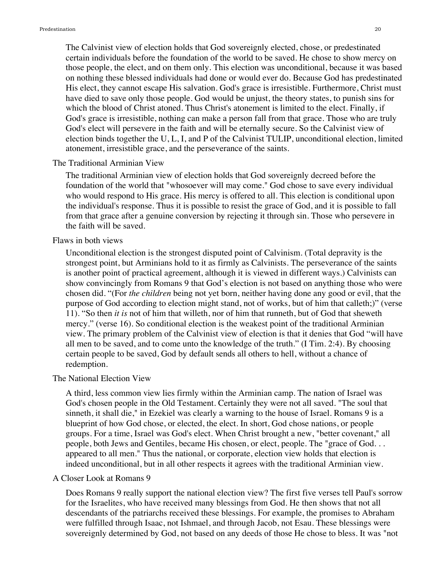The Calvinist view of election holds that God sovereignly elected, chose, or predestinated certain individuals before the foundation of the world to be saved. He chose to show mercy on those people, the elect, and on them only. This election was unconditional, because it was based on nothing these blessed individuals had done or would ever do. Because God has predestinated His elect, they cannot escape His salvation. God's grace is irresistible. Furthermore, Christ must have died to save only those people. God would be unjust, the theory states, to punish sins for which the blood of Christ atoned. Thus Christ's atonement is limited to the elect. Finally, if God's grace is irresistible, nothing can make a person fall from that grace. Those who are truly God's elect will persevere in the faith and will be eternally secure. So the Calvinist view of election binds together the U, L, I, and P of the Calvinist TULIP, unconditional election, limited atonement, irresistible grace, and the perseverance of the saints.

#### The Traditional Arminian View

The traditional Arminian view of election holds that God sovereignly decreed before the foundation of the world that "whosoever will may come." God chose to save every individual who would respond to His grace. His mercy is offered to all. This election is conditional upon the individual's response. Thus it is possible to resist the grace of God, and it is possible to fall from that grace after a genuine conversion by rejecting it through sin. Those who persevere in the faith will be saved.

#### Flaws in both views

Unconditional election is the strongest disputed point of Calvinism. (Total depravity is the strongest point, but Arminians hold to it as firmly as Calvinists. The perseverance of the saints is another point of practical agreement, although it is viewed in different ways.) Calvinists can show convincingly from Romans 9 that God's election is not based on anything those who were chosen did. "(For *the children* being not yet born, neither having done any good or evil, that the purpose of God according to election might stand, not of works, but of him that calleth;)" (verse 11). "So then *it is* not of him that willeth, nor of him that runneth, but of God that sheweth mercy." (verse 16). So conditional election is the weakest point of the traditional Arminian view. The primary problem of the Calvinist view of election is that it denies that God "will have all men to be saved, and to come unto the knowledge of the truth." (I Tim. 2:4). By choosing certain people to be saved, God by default sends all others to hell, without a chance of redemption.

#### The National Election View

A third, less common view lies firmly within the Arminian camp. The nation of Israel was God's chosen people in the Old Testament. Certainly they were not all saved. "The soul that sinneth, it shall die," in Ezekiel was clearly a warning to the house of Israel. Romans 9 is a blueprint of how God chose, or elected, the elect. In short, God chose nations, or people groups. For a time, Israel was God's elect. When Christ brought a new, "better covenant," all people, both Jews and Gentiles, became His chosen, or elect, people. The "grace of God. . . appeared to all men." Thus the national, or corporate, election view holds that election is indeed unconditional, but in all other respects it agrees with the traditional Arminian view.

#### A Closer Look at Romans 9

Does Romans 9 really support the national election view? The first five verses tell Paul's sorrow for the Israelites, who have received many blessings from God. He then shows that not all descendants of the patriarchs received these blessings. For example, the promises to Abraham were fulfilled through Isaac, not Ishmael, and through Jacob, not Esau. These blessings were sovereignly determined by God, not based on any deeds of those He chose to bless. It was "not